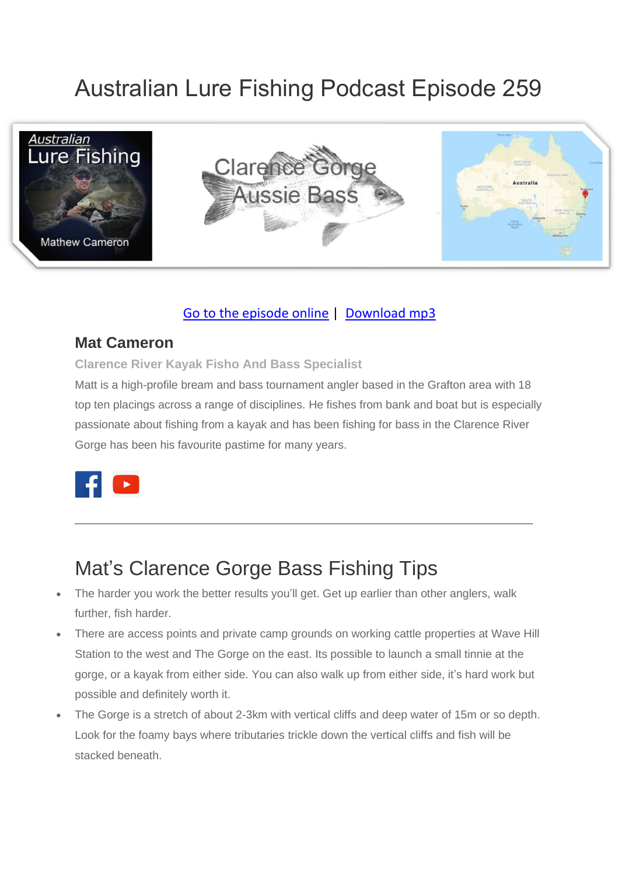# Australian Lure Fishing Podcast Episode 259



### [Go to the episode online](https://doclures.com/clarence-gorge-bass-matt-cameron/) | [Download mp3](https://traffic.libsyn.com/secure/doclures/clarence-gorge-bass-matt-cameron.mp3)

### **Mat Cameron**

**Clarence River Kayak Fisho And Bass Specialist**

Matt is a high-profile bream and bass tournament angler based in the Grafton area with 18 top ten placings across a range of disciplines. He fishes from bank and boat but is especially passionate about fishing from a kayak and has been fishing for bass in the Clarence River Gorge has been his favourite pastime for many years.

 $\_$  , and the set of the set of the set of the set of the set of the set of the set of the set of the set of the set of the set of the set of the set of the set of the set of the set of the set of the set of the set of th



### Mat's Clarence Gorge Bass Fishing Tips

- The harder you work the better results you'll get. Get up earlier than other anglers, walk further, fish harder.
- There are access points and private camp grounds on working cattle properties at Wave Hill Station to the west and The Gorge on the east. Its possible to launch a small tinnie at the gorge, or a kayak from either side. You can also walk up from either side, it's hard work but possible and definitely worth it.
- The Gorge is a stretch of about 2-3km with vertical cliffs and deep water of 15m or so depth. Look for the foamy bays where tributaries trickle down the vertical cliffs and fish will be stacked beneath.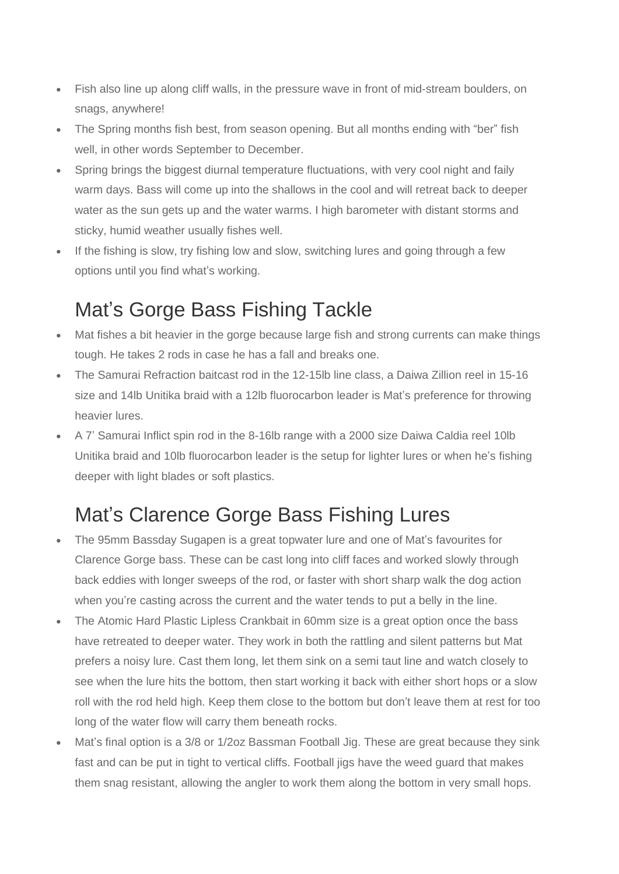- Fish also line up along cliff walls, in the pressure wave in front of mid-stream boulders, on snags, anywhere!
- The Spring months fish best, from season opening. But all months ending with "ber" fish well, in other words September to December.
- Spring brings the biggest diurnal temperature fluctuations, with very cool night and faily warm days. Bass will come up into the shallows in the cool and will retreat back to deeper water as the sun gets up and the water warms. I high barometer with distant storms and sticky, humid weather usually fishes well.
- If the fishing is slow, try fishing low and slow, switching lures and going through a few options until you find what's working.

# Mat's Gorge Bass Fishing Tackle

- Mat fishes a bit heavier in the gorge because large fish and strong currents can make things tough. He takes 2 rods in case he has a fall and breaks one.
- The Samurai Refraction baitcast rod in the 12-15lb line class, a Daiwa Zillion reel in 15-16 size and 14lb Unitika braid with a 12lb fluorocarbon leader is Mat's preference for throwing heavier lures.
- A 7' Samurai Inflict spin rod in the 8-16lb range with a 2000 size Daiwa Caldia reel 10lb Unitika braid and 10lb fluorocarbon leader is the setup for lighter lures or when he's fishing deeper with light blades or soft plastics.

## Mat's Clarence Gorge Bass Fishing Lures

- The 95mm Bassday Sugapen is a great topwater lure and one of Mat's favourites for Clarence Gorge bass. These can be cast long into cliff faces and worked slowly through back eddies with longer sweeps of the rod, or faster with short sharp walk the dog action when you're casting across the current and the water tends to put a belly in the line.
- The Atomic Hard Plastic Lipless Crankbait in 60mm size is a great option once the bass have retreated to deeper water. They work in both the rattling and silent patterns but Mat prefers a noisy lure. Cast them long, let them sink on a semi taut line and watch closely to see when the lure hits the bottom, then start working it back with either short hops or a slow roll with the rod held high. Keep them close to the bottom but don't leave them at rest for too long of the water flow will carry them beneath rocks.
- Mat's final option is a 3/8 or 1/2oz Bassman Football Jig. These are great because they sink fast and can be put in tight to vertical cliffs. Football jigs have the weed guard that makes them snag resistant, allowing the angler to work them along the bottom in very small hops.